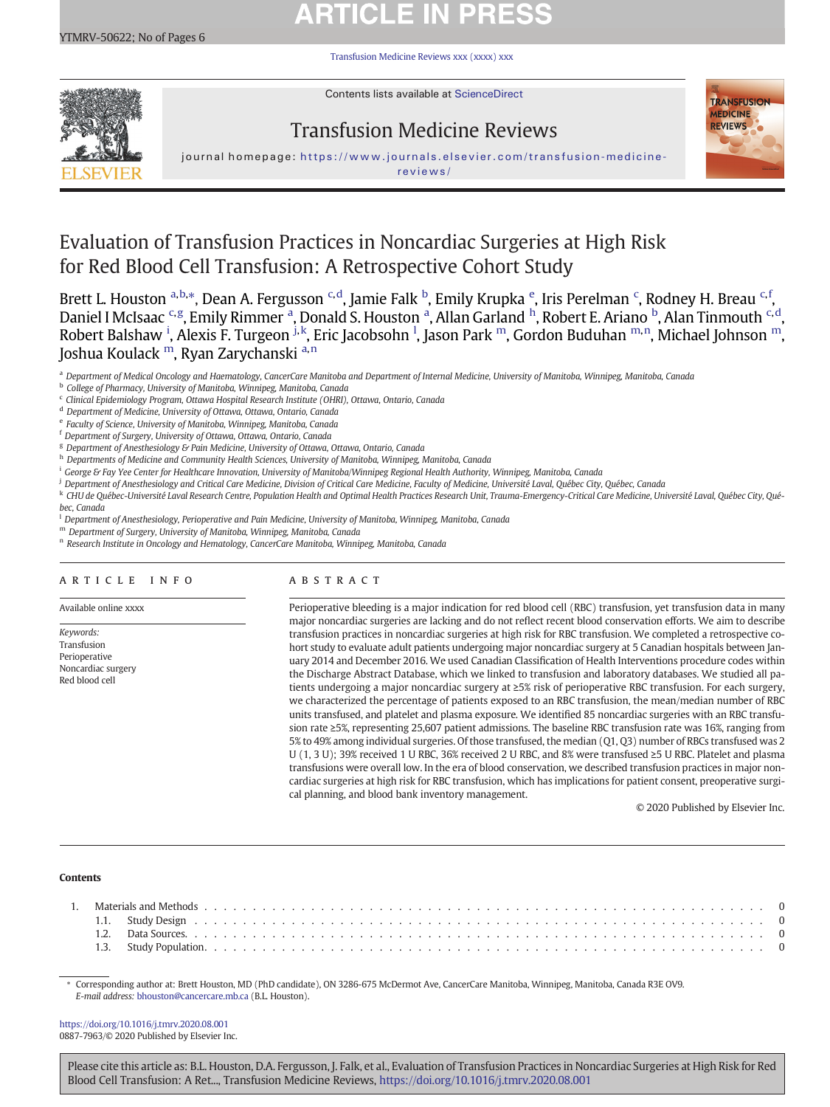# **ARTICLE IN PRESS**

[Transfusion Medicine Reviews xxx \(xxxx\) xxx](https://doi.org/10.1016/j.tmrv.2020.08.001)



Contents lists available at [ScienceDirect](http://www.sciencedirect.com/science/journal/)

## Transfusion Medicine Reviews



journal homepage: https://www.journals.elsevier.com/transfusion-medicinereviews/

## Evaluation of Transfusion Practices in Noncardiac Surgeries at High Risk for Red Blood Cell Transfusion: A Retrospective Cohort Study

Brett L. Houston <sup>a,b,\*</sup>, Dean A. Fergusson <sup>c,d</sup>, Jamie Falk <sup>b</sup>, Emily Krupka <sup>e</sup>, Iris Perelman <sup>c</sup>, Rodney H. Breau <sup>c,f</sup>, Daniel I McIsaac <u>6.g, Emily Rimmer a, Donald S. Houston a,</u> Allan Garland h, Robert E. Ariano b, Alan Tinmouth <sup>e,d</sup>, Robert Balshaw <sup>i</sup>, Alexis F. Turgeon <sup>j,k</sup>, Eric Jacobsohn <sup>l</sup>, Jason Park <sup>m</sup>, Gordon Buduhan <sup>m,n</sup>, Michael Johnson <sup>m</sup>, Joshua Koulack m, Ryan Zarychanski a,n

a Department of Medical Oncology and Haematology, CancerCare Manitoba and Department of Internal Medicine, University of Manitoba, Winnipeg, Manitoba, Canada

**b** College of Pharmacy, University of Manitoba, Winnipeg, Manitoba, Canada

<sup>c</sup> Clinical Epidemiology Program, Ottawa Hospital Research Institute (OHRI), Ottawa, Ontario, Canada

<sup>d</sup> Department of Medicine, University of Ottawa, Ottawa, Ontario, Canada

<sup>e</sup> Faculty of Science, University of Manitoba, Winnipeg, Manitoba, Canada

<sup>f</sup> Department of Surgery, University of Ottawa, Ottawa, Ontario, Canada

<sup>g</sup> Department of Anesthesiology & Pain Medicine, University of Ottawa, Ottawa, Ontario, Canada

h Departments of Medicine and Community Health Sciences, University of Manitoba, Winnipeg, Manitoba, Canada

<sup>i</sup> George & Fay Yee Center for Healthcare Innovation, University of Manitoba/Winnipeg Regional Health Authority, Winnipeg, Manitoba, Canada

<sup>j</sup> Department of Anesthesiology and Critical Care Medicine, Division of Critical Care Medicine, Faculty of Medicine, Université Laval, Québec City, Québec, Canada

k CHU de Québec-Université Laval Research Centre, Population Health and Optimal Health Practices Research Unit, Trauma-Emergency-Critical Care Medicine, Université Laval, Québec City, Québec, Canada

<sup>1</sup> Department of Anesthesiology, Perioperative and Pain Medicine, University of Manitoba, Winnipeg, Manitoba, Canada

m Department of Surgery, University of Manitoba, Winnipeg, Manitoba, Canada

n Research Institute in Oncology and Hematology, CancerCare Manitoba, Winnipeg, Manitoba, Canada

### article info abstract

Available online xxxx

Keywords: Transfusion Perioperative Noncardiac surgery Red blood cell

Perioperative bleeding is a major indication for red blood cell (RBC) transfusion, yet transfusion data in many major noncardiac surgeries are lacking and do not reflect recent blood conservation efforts. We aim to describe transfusion practices in noncardiac surgeries at high risk for RBC transfusion. We completed a retrospective cohort study to evaluate adult patients undergoing major noncardiac surgery at 5 Canadian hospitals between January 2014 and December 2016. We used Canadian Classification of Health Interventions procedure codes within the Discharge Abstract Database, which we linked to transfusion and laboratory databases. We studied all patients undergoing a major noncardiac surgery at ≥5% risk of perioperative RBC transfusion. For each surgery, we characterized the percentage of patients exposed to an RBC transfusion, the mean/median number of RBC units transfused, and platelet and plasma exposure. We identified 85 noncardiac surgeries with an RBC transfusion rate ≥5%, representing 25,607 patient admissions. The baseline RBC transfusion rate was 16%, ranging from 5% to 49% among individual surgeries. Of those transfused, the median (Q1, Q3) number of RBCs transfused was 2 U (1, 3 U); 39% received 1 U RBC, 36% received 2 U RBC, and 8% were transfused ≥5 U RBC. Platelet and plasma transfusions were overall low. In the era of blood conservation, we described transfusion practices in major noncardiac surgeries at high risk for RBC transfusion, which has implications for patient consent, preoperative surgical planning, and blood bank inventory management.

© 2020 Published by Elsevier Inc.

### **Contents**

⁎ Corresponding author at: Brett Houston, MD (PhD candidate), ON 3286-675 McDermot Ave, CancerCare Manitoba, Winnipeg, Manitoba, Canada R3E OV9. E-mail address: <bhouston@cancercare.mb.ca> (B.L. Houston).

<https://doi.org/10.1016/j.tmrv.2020.08.001> 0887-7963/© 2020 Published by Elsevier Inc.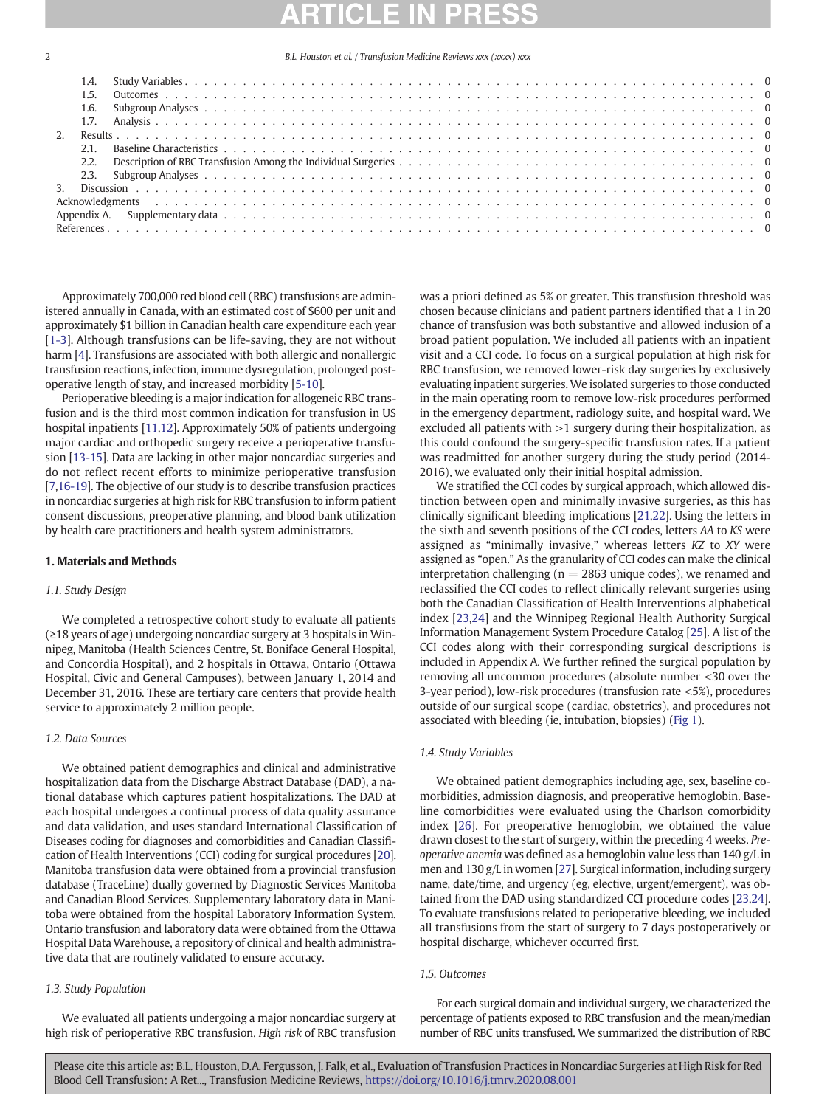Approximately 700,000 red blood cell (RBC) transfusions are administered annually in Canada, with an estimated cost of \$600 per unit and approximately \$1 billion in Canadian health care expenditure each year [\[1-3\]](#page-5-0). Although transfusions can be life-saving, they are not without harm [\[4](#page-5-0)]. Transfusions are associated with both allergic and nonallergic transfusion reactions, infection, immune dysregulation, prolonged postoperative length of stay, and increased morbidity [\[5-10\]](#page-5-0).

Perioperative bleeding is a major indication for allogeneic RBC transfusion and is the third most common indication for transfusion in US hospital inpatients [\[11](#page-5-0),[12\]](#page-5-0). Approximately 50% of patients undergoing major cardiac and orthopedic surgery receive a perioperative transfusion [\[13-15](#page-5-0)]. Data are lacking in other major noncardiac surgeries and do not reflect recent efforts to minimize perioperative transfusion [\[7,16-19](#page-5-0)]. The objective of our study is to describe transfusion practices in noncardiac surgeries at high risk for RBC transfusion to inform patient consent discussions, preoperative planning, and blood bank utilization by health care practitioners and health system administrators.

### 1. Materials and Methods

### 1.1. Study Design

We completed a retrospective cohort study to evaluate all patients (≥18 years of age) undergoing noncardiac surgery at 3 hospitals in Winnipeg, Manitoba (Health Sciences Centre, St. Boniface General Hospital, and Concordia Hospital), and 2 hospitals in Ottawa, Ontario (Ottawa Hospital, Civic and General Campuses), between January 1, 2014 and December 31, 2016. These are tertiary care centers that provide health service to approximately 2 million people.

### 1.2. Data Sources

We obtained patient demographics and clinical and administrative hospitalization data from the Discharge Abstract Database (DAD), a national database which captures patient hospitalizations. The DAD at each hospital undergoes a continual process of data quality assurance and data validation, and uses standard International Classification of Diseases coding for diagnoses and comorbidities and Canadian Classification of Health Interventions (CCI) coding for surgical procedures [\[20\]](#page-5-0). Manitoba transfusion data were obtained from a provincial transfusion database (TraceLine) dually governed by Diagnostic Services Manitoba and Canadian Blood Services. Supplementary laboratory data in Manitoba were obtained from the hospital Laboratory Information System. Ontario transfusion and laboratory data were obtained from the Ottawa Hospital Data Warehouse, a repository of clinical and health administrative data that are routinely validated to ensure accuracy.

### 1.3. Study Population

We evaluated all patients undergoing a major noncardiac surgery at high risk of perioperative RBC transfusion. High risk of RBC transfusion was a priori defined as 5% or greater. This transfusion threshold was chosen because clinicians and patient partners identified that a 1 in 20 chance of transfusion was both substantive and allowed inclusion of a broad patient population. We included all patients with an inpatient visit and a CCI code. To focus on a surgical population at high risk for RBC transfusion, we removed lower-risk day surgeries by exclusively evaluating inpatient surgeries.We isolated surgeries to those conducted in the main operating room to remove low-risk procedures performed in the emergency department, radiology suite, and hospital ward. We excluded all patients with  $>1$  surgery during their hospitalization, as this could confound the surgery-specific transfusion rates. If a patient was readmitted for another surgery during the study period (2014- 2016), we evaluated only their initial hospital admission.

We stratified the CCI codes by surgical approach, which allowed distinction between open and minimally invasive surgeries, as this has clinically significant bleeding implications [\[21,22](#page-5-0)]. Using the letters in the sixth and seventh positions of the CCI codes, letters AA to KS were assigned as "minimally invasive," whereas letters KZ to XY were assigned as "open." As the granularity of CCI codes can make the clinical interpretation challenging ( $n = 2863$  unique codes), we renamed and reclassified the CCI codes to reflect clinically relevant surgeries using both the Canadian Classification of Health Interventions alphabetical index [[23,24](#page-5-0)] and the Winnipeg Regional Health Authority Surgical Information Management System Procedure Catalog [\[25](#page-5-0)]. A list of the CCI codes along with their corresponding surgical descriptions is included in Appendix A. We further refined the surgical population by removing all uncommon procedures (absolute number <30 over the 3-year period), low-risk procedures (transfusion rate <5%), procedures outside of our surgical scope (cardiac, obstetrics), and procedures not associated with bleeding (ie, intubation, biopsies) [\(Fig 1](#page-2-0)).

### 1.4. Study Variables

We obtained patient demographics including age, sex, baseline comorbidities, admission diagnosis, and preoperative hemoglobin. Baseline comorbidities were evaluated using the Charlson comorbidity index [\[26](#page-5-0)]. For preoperative hemoglobin, we obtained the value drawn closest to the start of surgery, within the preceding 4 weeks. Preoperative anemia was defined as a hemoglobin value less than 140 g/L in men and 130 g/L in women [\[27\]](#page-5-0). Surgical information, including surgery name, date/time, and urgency (eg, elective, urgent/emergent), was obtained from the DAD using standardized CCI procedure codes [[23,24\]](#page-5-0). To evaluate transfusions related to perioperative bleeding, we included all transfusions from the start of surgery to 7 days postoperatively or hospital discharge, whichever occurred first.

### 1.5. Outcomes

For each surgical domain and individual surgery, we characterized the percentage of patients exposed to RBC transfusion and the mean/median number of RBC units transfused. We summarized the distribution of RBC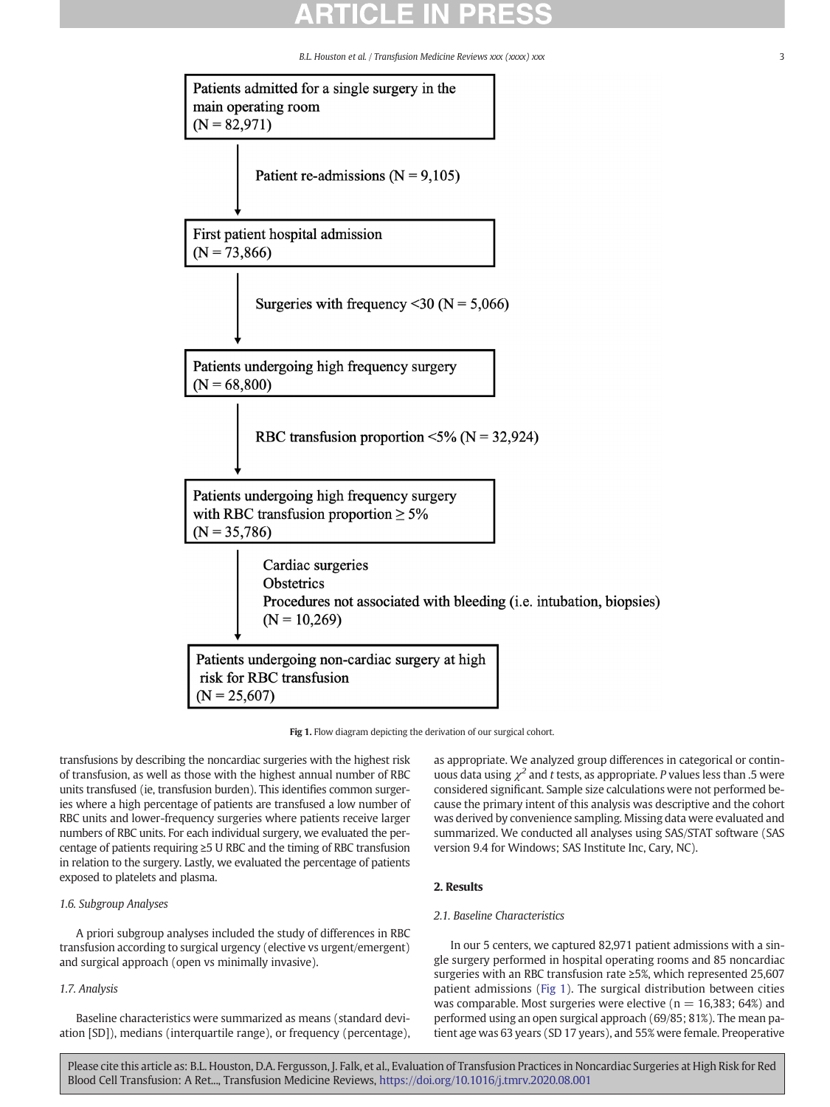<span id="page-2-0"></span>

Fig 1. Flow diagram depicting the derivation of our surgical cohort.

transfusions by describing the noncardiac surgeries with the highest risk of transfusion, as well as those with the highest annual number of RBC units transfused (ie, transfusion burden). This identifies common surgeries where a high percentage of patients are transfused a low number of RBC units and lower-frequency surgeries where patients receive larger numbers of RBC units. For each individual surgery, we evaluated the percentage of patients requiring ≥5 U RBC and the timing of RBC transfusion in relation to the surgery. Lastly, we evaluated the percentage of patients exposed to platelets and plasma.

### 1.6. Subgroup Analyses

A priori subgroup analyses included the study of differences in RBC transfusion according to surgical urgency (elective vs urgent/emergent) and surgical approach (open vs minimally invasive).

### 1.7. Analysis

Baseline characteristics were summarized as means (standard deviation [SD]), medians (interquartile range), or frequency (percentage), as appropriate. We analyzed group differences in categorical or continuous data using  $\chi^2$  and t tests, as appropriate. P values less than .5 were considered significant. Sample size calculations were not performed because the primary intent of this analysis was descriptive and the cohort was derived by convenience sampling. Missing data were evaluated and summarized. We conducted all analyses using SAS/STAT software (SAS version 9.4 for Windows; SAS Institute Inc, Cary, NC).

### 2. Results

### 2.1. Baseline Characteristics

In our 5 centers, we captured 82,971 patient admissions with a single surgery performed in hospital operating rooms and 85 noncardiac surgeries with an RBC transfusion rate ≥5%, which represented 25,607 patient admissions (Fig 1). The surgical distribution between cities was comparable. Most surgeries were elective ( $n = 16,383$ ; 64%) and performed using an open surgical approach (69/85; 81%). The mean patient age was 63 years (SD 17 years), and 55% were female. Preoperative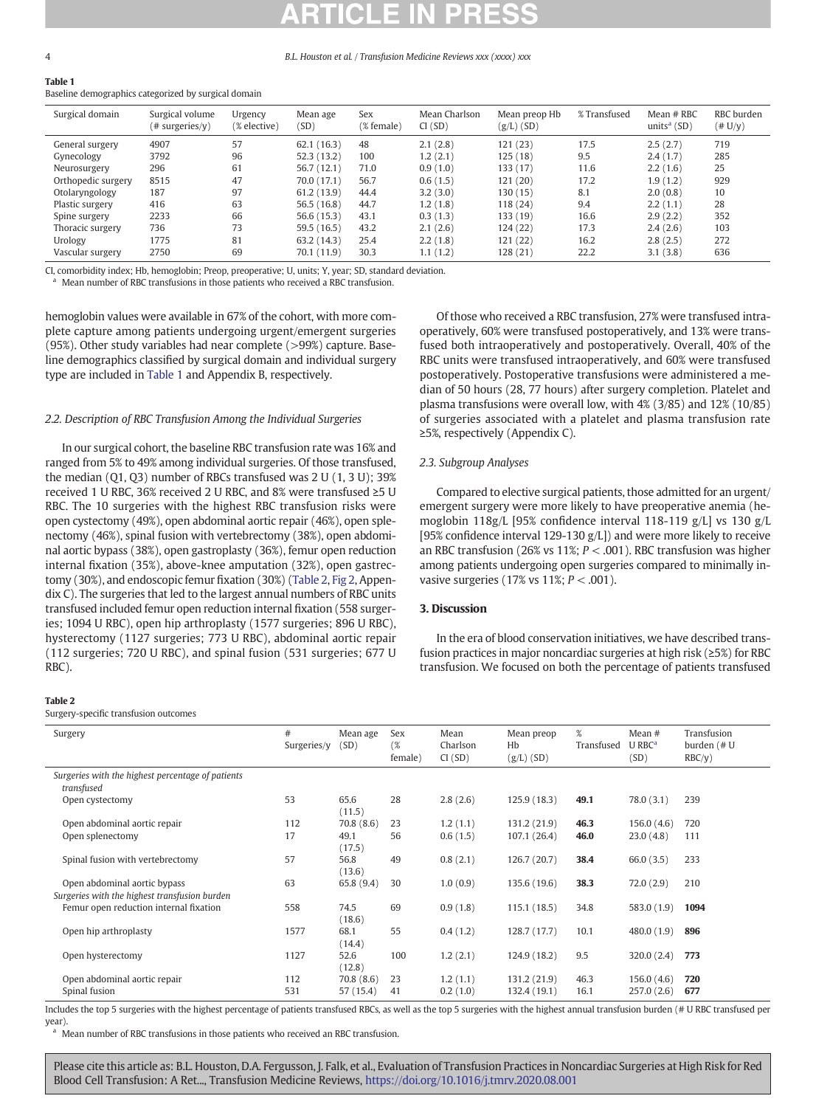## Table 1

| Baseline demographics categorized by surgical domain |  |  |
|------------------------------------------------------|--|--|
|                                                      |  |  |

| Surgical domain    | Surgical volume<br>#surgeries(y) | Urgency<br>(% elective) | Mean age<br>(SD) | <b>Sex</b><br>(% female) | Mean Charlson<br>CI(SD) | Mean preop Hb<br>$(g/L)$ (SD) | % Transfused | Mean # RBC<br>units <sup>a</sup> $(SD)$ | RBC burden<br>$($ # U/y $)$ |
|--------------------|----------------------------------|-------------------------|------------------|--------------------------|-------------------------|-------------------------------|--------------|-----------------------------------------|-----------------------------|
| General surgery    | 4907                             | 57                      | 62.1(16.3)       | 48                       | 2.1(2.8)                | 121 (23)                      | 17.5         | 2.5(2.7)                                | 719                         |
| Gynecology         | 3792                             | 96                      | 52.3(13.2)       | 100                      | 1.2(2.1)                | 125(18)                       | 9.5          | 2.4(1.7)                                | 285                         |
| Neurosurgery       | 296                              | 61                      | 56.7(12.1)       | 71.0                     | 0.9(1.0)                | 133(17)                       | 11.6         | 2.2(1.6)                                | 25                          |
| Orthopedic surgery | 8515                             | 47                      | 70.0 (17.1)      | 56.7                     | 0.6(1.5)                | 121(20)                       | 17.2         | 1.9(1.2)                                | 929                         |
| Otolaryngology     | 187                              | 97                      | 61.2(13.9)       | 44.4                     | 3.2(3.0)                | 130(15)                       | 8.1          | 2.0(0.8)                                | 10                          |
| Plastic surgery    | 416                              | 63                      | 56.5(16.8)       | 44.7                     | 1.2(1.8)                | 118 (24)                      | 9.4          | 2.2(1.1)                                | 28                          |
| Spine surgery      | 2233                             | 66                      | 56.6 (15.3)      | 43.1                     | 0.3(1.3)                | 133(19)                       | 16.6         | 2.9(2.2)                                | 352                         |
| Thoracic surgery   | 736                              | 73                      | 59.5(16.5)       | 43.2                     | 2.1(2.6)                | 124 (22)                      | 17.3         | 2.4(2.6)                                | 103                         |
| Urology            | 1775                             | 81                      | 63.2(14.3)       | 25.4                     | 2.2(1.8)                | 121 (22)                      | 16.2         | 2.8(2.5)                                | 272                         |
| Vascular surgery   | 2750                             | 69                      | 70.1 (11.9)      | 30.3                     | 1.1(1.2)                | 128 (21)                      | 22.2         | 3.1(3.8)                                | 636                         |

CI, comorbidity index; Hb, hemoglobin; Preop, preoperative; U, units; Y, year; SD, standard deviation.

Mean number of RBC transfusions in those patients who received a RBC transfusion.

hemoglobin values were available in 67% of the cohort, with more complete capture among patients undergoing urgent/emergent surgeries (95%). Other study variables had near complete (>99%) capture. Baseline demographics classified by surgical domain and individual surgery type are included in Table 1 and Appendix B, respectively.

### 2.2. Description of RBC Transfusion Among the Individual Surgeries

In our surgical cohort, the baseline RBC transfusion rate was 16% and ranged from 5% to 49% among individual surgeries. Of those transfused, the median (Q1, Q3) number of RBCs transfused was 2 U (1, 3 U); 39% received 1 U RBC, 36% received 2 U RBC, and 8% were transfused ≥5 U RBC. The 10 surgeries with the highest RBC transfusion risks were open cystectomy (49%), open abdominal aortic repair (46%), open splenectomy (46%), spinal fusion with vertebrectomy (38%), open abdominal aortic bypass (38%), open gastroplasty (36%), femur open reduction internal fixation (35%), above-knee amputation (32%), open gastrectomy (30%), and endoscopic femur fixation (30%) (Table 2, [Fig 2,](#page-4-0) Appendix C). The surgeries that led to the largest annual numbers of RBC units transfused included femur open reduction internal fixation (558 surgeries; 1094 U RBC), open hip arthroplasty (1577 surgeries; 896 U RBC), hysterectomy (1127 surgeries; 773 U RBC), abdominal aortic repair (112 surgeries; 720 U RBC), and spinal fusion (531 surgeries; 677 U RBC).

### Of those who received a RBC transfusion, 27% were transfused intraoperatively, 60% were transfused postoperatively, and 13% were transfused both intraoperatively and postoperatively. Overall, 40% of the RBC units were transfused intraoperatively, and 60% were transfused postoperatively. Postoperative transfusions were administered a median of 50 hours (28, 77 hours) after surgery completion. Platelet and plasma transfusions were overall low, with 4% (3/85) and 12% (10/85) of surgeries associated with a platelet and plasma transfusion rate ≥5%, respectively (Appendix C).

### 2.3. Subgroup Analyses

Compared to elective surgical patients, those admitted for an urgent/ emergent surgery were more likely to have preoperative anemia (hemoglobin 118g/L [95% confidence interval 118-119 g/L] vs 130 g/L [95% confidence interval 129-130 g/L]) and were more likely to receive an RBC transfusion (26% vs 11%;  $P < .001$ ). RBC transfusion was higher among patients undergoing open surgeries compared to minimally invasive surgeries (17% vs 11%;  $P < .001$ ).

### 3. Discussion

In the era of blood conservation initiatives, we have described transfusion practices in major noncardiac surgeries at high risk (≥5%) for RBC transfusion. We focused on both the percentage of patients transfused

### Table 2

Surgery-specific transfusion outcomes

| Surgery                                                         | #<br>Surgeries/y | Mean age<br>(SD) | Sex<br>(%<br>female) | Mean<br>Charlson<br>CI(SD) | Mean preop<br>Hb<br>$(g/L)$ (SD) | %<br>Transfused | Mean $#$<br>U RBC <sup>a</sup><br>(SD) | Transfusion<br>burden (#U<br>$RBC/y$ ) |
|-----------------------------------------------------------------|------------------|------------------|----------------------|----------------------------|----------------------------------|-----------------|----------------------------------------|----------------------------------------|
| Surgeries with the highest percentage of patients<br>transfused |                  |                  |                      |                            |                                  |                 |                                        |                                        |
| Open cystectomy                                                 | 53               | 65.6<br>(11.5)   | 28                   | 2.8(2.6)                   | 125.9(18.3)                      | 49.1            | 78.0(3.1)                              | 239                                    |
| Open abdominal aortic repair                                    | 112              | 70.8(8.6)        | 23                   | 1.2(1.1)                   | 131.2 (21.9)                     | 46.3            | 156.0(4.6)                             | 720                                    |
| Open splenectomy                                                | 17               | 49.1<br>(17.5)   | 56                   | 0.6(1.5)                   | 107.1(26.4)                      | 46.0            | 23.0(4.8)                              | 111                                    |
| Spinal fusion with vertebrectomy                                | 57               | 56.8<br>(13.6)   | 49                   | 0.8(2.1)                   | 126.7(20.7)                      | 38.4            | 66.0(3.5)                              | 233                                    |
| Open abdominal aortic bypass                                    | 63               | 65.8 (9.4)       | 30                   | 1.0(0.9)                   | 135.6 (19.6)                     | 38.3            | 72.0(2.9)                              | 210                                    |
| Surgeries with the highest transfusion burden                   |                  |                  |                      |                            |                                  |                 |                                        |                                        |
| Femur open reduction internal fixation                          | 558              | 74.5<br>(18.6)   | 69                   | 0.9(1.8)                   | 115.1(18.5)                      | 34.8            | 583.0 (1.9)                            | 1094                                   |
| Open hip arthroplasty                                           | 1577             | 68.1<br>(14.4)   | 55                   | 0.4(1.2)                   | 128.7 (17.7)                     | 10.1            | 480.0 (1.9)                            | 896                                    |
| Open hysterectomy                                               | 1127             | 52.6<br>(12.8)   | 100                  | 1.2(2.1)                   | 124.9 (18.2)                     | 9.5             | 320.0 (2.4)                            | 773                                    |
| Open abdominal aortic repair                                    | 112              | 70.8(8.6)        | 23                   | 1.2(1.1)                   | 131.2 (21.9)                     | 46.3            | 156.0(4.6)                             | 720                                    |
| Spinal fusion                                                   | 531              | 57 (15.4)        | 41                   | 0.2(1.0)                   | 132.4 (19.1)                     | 16.1            | 257.0(2.6)                             | 677                                    |

Includes the top 5 surgeries with the highest percentage of patients transfused RBCs, as well as the top 5 surgeries with the highest annual transfusion burden (# U RBC transfused per year).

<sup>a</sup> Mean number of RBC transfusions in those patients who received an RBC transfusion.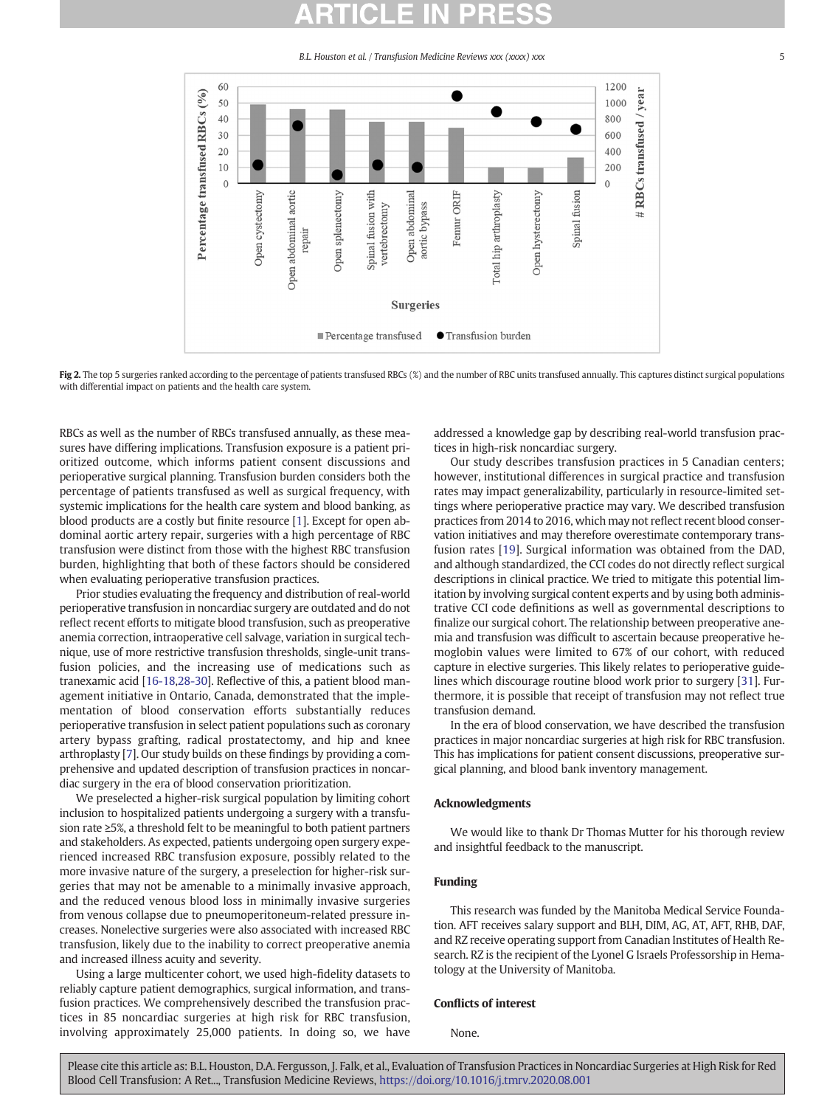<span id="page-4-0"></span>

Fig 2. The top 5 surgeries ranked according to the percentage of patients transfused RBCs (%) and the number of RBC units transfused annually. This captures distinct surgical populations with differential impact on patients and the health care system.

RBCs as well as the number of RBCs transfused annually, as these measures have differing implications. Transfusion exposure is a patient prioritized outcome, which informs patient consent discussions and perioperative surgical planning. Transfusion burden considers both the percentage of patients transfused as well as surgical frequency, with systemic implications for the health care system and blood banking, as blood products are a costly but finite resource [\[1\]](#page-5-0). Except for open abdominal aortic artery repair, surgeries with a high percentage of RBC transfusion were distinct from those with the highest RBC transfusion burden, highlighting that both of these factors should be considered when evaluating perioperative transfusion practices.

Prior studies evaluating the frequency and distribution of real-world perioperative transfusion in noncardiac surgery are outdated and do not reflect recent efforts to mitigate blood transfusion, such as preoperative anemia correction, intraoperative cell salvage, variation in surgical technique, use of more restrictive transfusion thresholds, single-unit transfusion policies, and the increasing use of medications such as tranexamic acid [\[16-18,28-30](#page-5-0)]. Reflective of this, a patient blood management initiative in Ontario, Canada, demonstrated that the implementation of blood conservation efforts substantially reduces perioperative transfusion in select patient populations such as coronary artery bypass grafting, radical prostatectomy, and hip and knee arthroplasty [\[7\]](#page-5-0). Our study builds on these findings by providing a comprehensive and updated description of transfusion practices in noncardiac surgery in the era of blood conservation prioritization.

We preselected a higher-risk surgical population by limiting cohort inclusion to hospitalized patients undergoing a surgery with a transfusion rate ≥5%, a threshold felt to be meaningful to both patient partners and stakeholders. As expected, patients undergoing open surgery experienced increased RBC transfusion exposure, possibly related to the more invasive nature of the surgery, a preselection for higher-risk surgeries that may not be amenable to a minimally invasive approach, and the reduced venous blood loss in minimally invasive surgeries from venous collapse due to pneumoperitoneum-related pressure increases. Nonelective surgeries were also associated with increased RBC transfusion, likely due to the inability to correct preoperative anemia and increased illness acuity and severity.

Using a large multicenter cohort, we used high-fidelity datasets to reliably capture patient demographics, surgical information, and transfusion practices. We comprehensively described the transfusion practices in 85 noncardiac surgeries at high risk for RBC transfusion, involving approximately 25,000 patients. In doing so, we have addressed a knowledge gap by describing real-world transfusion practices in high-risk noncardiac surgery.

Our study describes transfusion practices in 5 Canadian centers; however, institutional differences in surgical practice and transfusion rates may impact generalizability, particularly in resource-limited settings where perioperative practice may vary. We described transfusion practices from 2014 to 2016, which may not reflect recent blood conservation initiatives and may therefore overestimate contemporary transfusion rates [[19\]](#page-5-0). Surgical information was obtained from the DAD, and although standardized, the CCI codes do not directly reflect surgical descriptions in clinical practice. We tried to mitigate this potential limitation by involving surgical content experts and by using both administrative CCI code definitions as well as governmental descriptions to finalize our surgical cohort. The relationship between preoperative anemia and transfusion was difficult to ascertain because preoperative hemoglobin values were limited to 67% of our cohort, with reduced capture in elective surgeries. This likely relates to perioperative guidelines which discourage routine blood work prior to surgery [\[31\]](#page-5-0). Furthermore, it is possible that receipt of transfusion may not reflect true transfusion demand.

In the era of blood conservation, we have described the transfusion practices in major noncardiac surgeries at high risk for RBC transfusion. This has implications for patient consent discussions, preoperative surgical planning, and blood bank inventory management.

### Acknowledgments

We would like to thank Dr Thomas Mutter for his thorough review and insightful feedback to the manuscript.

### Funding

This research was funded by the Manitoba Medical Service Foundation. AFT receives salary support and BLH, DIM, AG, AT, AFT, RHB, DAF, and RZ receive operating support from Canadian Institutes of Health Research. RZ is the recipient of the Lyonel G Israels Professorship in Hematology at the University of Manitoba.

### Conflicts of interest

None.